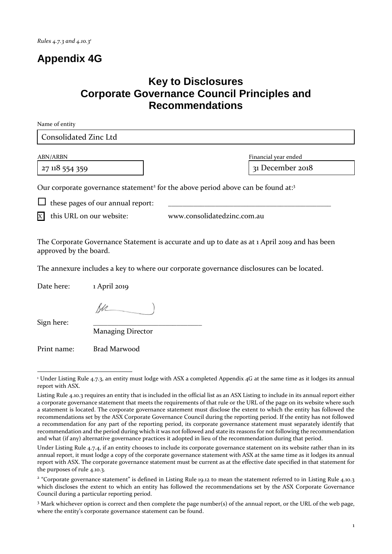## **Appendix 4G**

## **Key to Disclosures Corporate Governance Council Principles and Recommendations**

| Name of entity                                                                                                                                                                                                |                      |  |  |  |
|---------------------------------------------------------------------------------------------------------------------------------------------------------------------------------------------------------------|----------------------|--|--|--|
| Consolidated Zinc Ltd                                                                                                                                                                                         |                      |  |  |  |
| ABN/ARBN                                                                                                                                                                                                      | Financial year ended |  |  |  |
| 27 118 554 359                                                                                                                                                                                                | 31 December 2018     |  |  |  |
| Our corporate governance statement <sup>2</sup> for the above period above can be found at: <sup>3</sup><br>these pages of our annual report:<br>www.consolidatedzinc.com.au<br>this URL on our website:<br>X |                      |  |  |  |

The Corporate Governance Statement is accurate and up to date as at 1 April 2019 and has been approved by the board.

The annexure includes a key to where our corporate governance disclosures can be located.

Date here: 1 April 2019

Mr

Sign here:

<u>.</u>

Managing Director

Print name: Brad Marwood

<sup>&</sup>lt;sup>1</sup> Under Listing Rule 4.7.3, an entity must lodge with ASX a completed Appendix 4G at the same time as it lodges its annual report with ASX.

Listing Rule 4.10.3 requires an entity that is included in the official list as an ASX Listing to include in its annual report either a corporate governance statement that meets the requirements of that rule or the URL of the page on its website where such a statement is located. The corporate governance statement must disclose the extent to which the entity has followed the recommendations set by the ASX Corporate Governance Council during the reporting period. If the entity has not followed a recommendation for any part of the reporting period, its corporate governance statement must separately identify that recommendation and the period during which it was not followed and state its reasons for not following the recommendation and what (if any) alternative governance practices it adopted in lieu of the recommendation during that period.

Under Listing Rule 4.7.4, if an entity chooses to include its corporate governance statement on its website rather than in its annual report, it must lodge a copy of the corporate governance statement with ASX at the same time as it lodges its annual report with ASX. The corporate governance statement must be current as at the effective date specified in that statement for the purposes of rule 4.10.3.

<sup>2</sup> "Corporate governance statement" is defined in Listing Rule 19.12 to mean the statement referred to in Listing Rule 4.10.3 which discloses the extent to which an entity has followed the recommendations set by the ASX Corporate Governance Council during a particular reporting period.

<sup>3</sup> Mark whichever option is correct and then complete the page number(s) of the annual report, or the URL of the web page, where the entity's corporate governance statement can be found.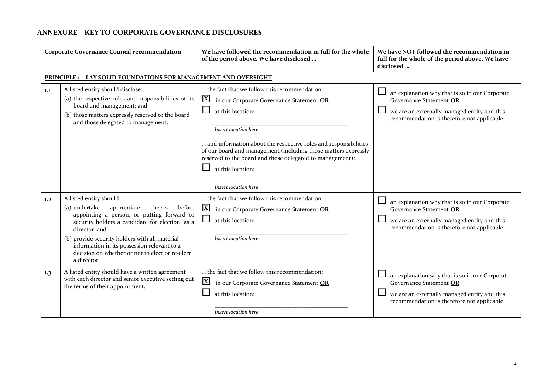## **ANNEXURE – KEY TO CORPORATE GOVERNANCE DISCLOSURES**

|     | <b>Corporate Governance Council recommendation</b>                                                                                                                                                                                                                                                                                                               | We have followed the recommendation in full for the whole<br>of the period above. We have disclosed                                                                                                                                                                                                                                                                                                            | We have NOT followed the recommendation in<br>full for the whole of the period above. We have<br>disclosed                                                              |
|-----|------------------------------------------------------------------------------------------------------------------------------------------------------------------------------------------------------------------------------------------------------------------------------------------------------------------------------------------------------------------|----------------------------------------------------------------------------------------------------------------------------------------------------------------------------------------------------------------------------------------------------------------------------------------------------------------------------------------------------------------------------------------------------------------|-------------------------------------------------------------------------------------------------------------------------------------------------------------------------|
|     | <b>PRINCIPLE 1 - LAY SOLID FOUNDATIONS FOR MANAGEMENT AND OVERSIGHT</b>                                                                                                                                                                                                                                                                                          |                                                                                                                                                                                                                                                                                                                                                                                                                |                                                                                                                                                                         |
| 1.1 | A listed entity should disclose:<br>(a) the respective roles and responsibilities of its<br>board and management; and<br>(b) those matters expressly reserved to the board<br>and those delegated to management.                                                                                                                                                 | the fact that we follow this recommendation:<br>$\mathbf{X}$<br>in our Corporate Governance Statement OR<br>$\Box$<br>at this location:<br>Insert location here<br>and information about the respective roles and responsibilities<br>of our board and management (including those matters expressly<br>reserved to the board and those delegated to management):<br>at this location:<br>Insert location here | an explanation why that is so in our Corporate<br>Governance Statement OR<br>we are an externally managed entity and this<br>recommendation is therefore not applicable |
| 1.2 | A listed entity should:<br>(a) undertake<br>checks<br>before<br>appropriate<br>appointing a person, or putting forward to<br>security holders a candidate for election, as a<br>director; and<br>(b) provide security holders with all material<br>information in its possession relevant to a<br>decision on whether or not to elect or re-elect<br>a director. | the fact that we follow this recommendation:<br>$ \mathbf{X} $ in our Corporate Governance Statement OR<br>$\sqcup$<br>at this location:<br>Insert location here                                                                                                                                                                                                                                               | an explanation why that is so in our Corporate<br>Governance Statement OR<br>we are an externally managed entity and this<br>recommendation is therefore not applicable |
| 1.3 | A listed entity should have a written agreement<br>with each director and senior executive setting out<br>the terms of their appointment.                                                                                                                                                                                                                        | the fact that we follow this recommendation:<br>$\mathbf{X}$<br>in our Corporate Governance Statement OR<br>at this location:<br>Insert location here                                                                                                                                                                                                                                                          | an explanation why that is so in our Corporate<br>Governance Statement OR<br>we are an externally managed entity and this<br>recommendation is therefore not applicable |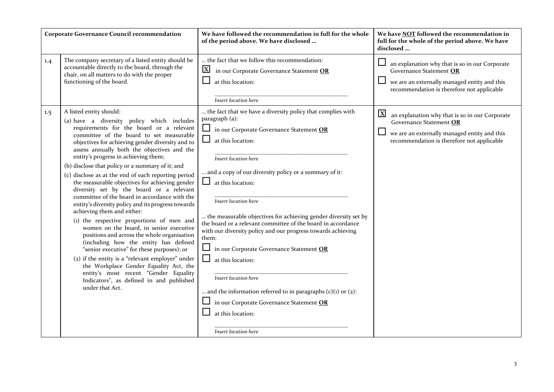|            | <b>Corporate Governance Council recommendation</b>                                                                                                                                                                                                                                                                                                                                                                                                                                                                                                                                                                                                                                                                                                                                                                                                                                                                                                                                                                | We have followed the recommendation in full for the whole<br>of the period above. We have disclosed                                                                                                                                                                                                                                                                                                                                                                                                                                                                                                                                                                         | We have NOT followed the recommendation in<br>full for the whole of the period above. We have<br>disclosed                                                                                                                                                                     |
|------------|-------------------------------------------------------------------------------------------------------------------------------------------------------------------------------------------------------------------------------------------------------------------------------------------------------------------------------------------------------------------------------------------------------------------------------------------------------------------------------------------------------------------------------------------------------------------------------------------------------------------------------------------------------------------------------------------------------------------------------------------------------------------------------------------------------------------------------------------------------------------------------------------------------------------------------------------------------------------------------------------------------------------|-----------------------------------------------------------------------------------------------------------------------------------------------------------------------------------------------------------------------------------------------------------------------------------------------------------------------------------------------------------------------------------------------------------------------------------------------------------------------------------------------------------------------------------------------------------------------------------------------------------------------------------------------------------------------------|--------------------------------------------------------------------------------------------------------------------------------------------------------------------------------------------------------------------------------------------------------------------------------|
| 1.4<br>1.5 | The company secretary of a listed entity should be<br>accountable directly to the board, through the<br>chair, on all matters to do with the proper<br>functioning of the board.<br>A listed entity should:<br>(a) have a diversity policy which includes                                                                                                                                                                                                                                                                                                                                                                                                                                                                                                                                                                                                                                                                                                                                                         | the fact that we follow this recommendation:<br>$\overline{\mathbf{X}}$<br>in our Corporate Governance Statement OR<br>at this location:<br>Insert location here<br>the fact that we have a diversity policy that complies with<br>paragraph (a):                                                                                                                                                                                                                                                                                                                                                                                                                           | ⊔<br>an explanation why that is so in our Corporate<br>Governance Statement OR<br>ப<br>we are an externally managed entity and this<br>recommendation is therefore not applicable<br>$\mathbf{X}$<br>an explanation why that is so in our Corporate<br>Governance Statement OR |
|            | requirements for the board or a relevant<br>committee of the board to set measurable<br>objectives for achieving gender diversity and to<br>assess annually both the objectives and the<br>entity's progress in achieving them;<br>(b) disclose that policy or a summary of it; and<br>(c) disclose as at the end of each reporting period<br>the measurable objectives for achieving gender<br>diversity set by the board or a relevant<br>committee of the board in accordance with the<br>entity's diversity policy and its progress towards<br>achieving them and either:<br>(1) the respective proportions of men and<br>women on the board, in senior executive<br>positions and across the whole organisation<br>(including how the entity has defined<br>"senior executive" for these purposes); or<br>(2) if the entity is a "relevant employer" under<br>the Workplace Gender Equality Act, the<br>entity's most recent "Gender Equality<br>Indicators", as defined in and published<br>under that Act. | in our Corporate Governance Statement OR<br>at this location:<br><b>Insert location here</b><br>and a copy of our diversity policy or a summary of it:<br>at this location:<br>Insert location here<br>the measurable objectives for achieving gender diversity set by<br>the board or a relevant committee of the board in accordance<br>with our diversity policy and our progress towards achieving<br>them:<br>in our Corporate Governance Statement OR<br>⊔<br>at this location:<br>Insert location here<br>and the information referred to in paragraphs $(c)(1)$ or $(z)$ :<br>in our Corporate Governance Statement OR<br>at this location:<br>Insert location here | $\sqcup$<br>we are an externally managed entity and this<br>recommendation is therefore not applicable                                                                                                                                                                         |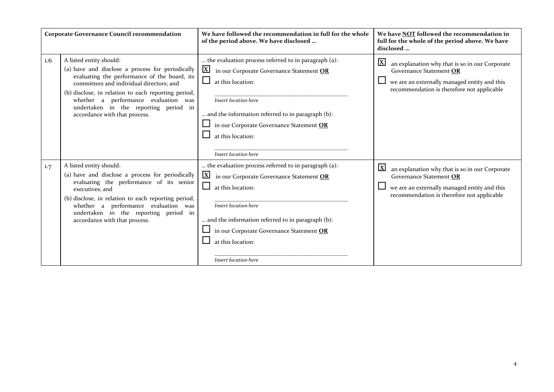| <b>Corporate Governance Council recommendation</b> |                                                                                                                                                                                                                                                                                                                                                  | We have followed the recommendation in full for the whole<br>of the period above. We have disclosed                                                                                                                                                                                                         | We have NOT followed the recommendation in<br>full for the whole of the period above. We have<br>disclosed                                                                              |
|----------------------------------------------------|--------------------------------------------------------------------------------------------------------------------------------------------------------------------------------------------------------------------------------------------------------------------------------------------------------------------------------------------------|-------------------------------------------------------------------------------------------------------------------------------------------------------------------------------------------------------------------------------------------------------------------------------------------------------------|-----------------------------------------------------------------------------------------------------------------------------------------------------------------------------------------|
| $1.6\,$                                            | A listed entity should:<br>(a) have and disclose a process for periodically<br>evaluating the performance of the board, its<br>committees and individual directors; and<br>(b) disclose, in relation to each reporting period,<br>whether a performance evaluation was<br>undertaken in the reporting period in<br>accordance with that process. | the evaluation process referred to in paragraph (a):<br>$\mathbf{X}$<br>in our Corporate Governance Statement OR<br>at this location:<br>Insert location here<br>and the information referred to in paragraph (b):<br>in our Corporate Governance Statement OR<br>at this location:<br>Insert location here | $\mathbf{X}$<br>an explanation why that is so in our Corporate<br>Governance Statement OR<br>we are an externally managed entity and this<br>recommendation is therefore not applicable |
| 1.7                                                | A listed entity should:<br>(a) have and disclose a process for periodically<br>evaluating the performance of its senior<br>executives; and<br>(b) disclose, in relation to each reporting period,<br>whether a performance evaluation was<br>undertaken in the reporting period in<br>accordance with that process.                              | the evaluation process referred to in paragraph (a):<br>$\mathbf{X}$<br>in our Corporate Governance Statement OR<br>at this location:<br>Insert location here<br>and the information referred to in paragraph (b):<br>in our Corporate Governance Statement OR<br>at this location:<br>Insert location here | $\mathbf{X}$<br>an explanation why that is so in our Corporate<br>Governance Statement OR<br>we are an externally managed entity and this<br>recommendation is therefore not applicable |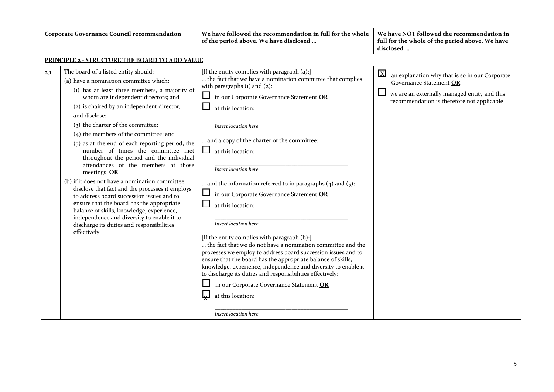|     | <b>Corporate Governance Council recommendation</b>                                                                                                                                                                                                                                                                                                                                                                                                                                                                                                                                                                                                                                                                                                                                                                                                                         | We have followed the recommendation in full for the whole<br>of the period above. We have disclosed                                                                                                                                                                                                                                                                                                                                                                                                                                                                                                                                                                                                                                                                                                                                                                                                                         | We have NOT followed the recommendation in<br>full for the whole of the period above. We have<br>disclosed                                                                              |
|-----|----------------------------------------------------------------------------------------------------------------------------------------------------------------------------------------------------------------------------------------------------------------------------------------------------------------------------------------------------------------------------------------------------------------------------------------------------------------------------------------------------------------------------------------------------------------------------------------------------------------------------------------------------------------------------------------------------------------------------------------------------------------------------------------------------------------------------------------------------------------------------|-----------------------------------------------------------------------------------------------------------------------------------------------------------------------------------------------------------------------------------------------------------------------------------------------------------------------------------------------------------------------------------------------------------------------------------------------------------------------------------------------------------------------------------------------------------------------------------------------------------------------------------------------------------------------------------------------------------------------------------------------------------------------------------------------------------------------------------------------------------------------------------------------------------------------------|-----------------------------------------------------------------------------------------------------------------------------------------------------------------------------------------|
|     | <b>PRINCIPLE 2 - STRUCTURE THE BOARD TO ADD VALUE</b>                                                                                                                                                                                                                                                                                                                                                                                                                                                                                                                                                                                                                                                                                                                                                                                                                      |                                                                                                                                                                                                                                                                                                                                                                                                                                                                                                                                                                                                                                                                                                                                                                                                                                                                                                                             |                                                                                                                                                                                         |
| 2.1 | The board of a listed entity should:<br>(a) have a nomination committee which:<br>(1) has at least three members, a majority of<br>whom are independent directors; and<br>(2) is chaired by an independent director,<br>and disclose:<br>(3) the charter of the committee;<br>$(4)$ the members of the committee; and<br>$(5)$ as at the end of each reporting period, the<br>number of times the committee met<br>throughout the period and the individual<br>attendances of the members at those<br>meetings; OR<br>(b) if it does not have a nomination committee,<br>disclose that fact and the processes it employs<br>to address board succession issues and to<br>ensure that the board has the appropriate<br>balance of skills, knowledge, experience,<br>independence and diversity to enable it to<br>discharge its duties and responsibilities<br>effectively. | [If the entity complies with paragraph (a):]<br>the fact that we have a nomination committee that complies<br>with paragraphs $(i)$ and $(2)$ :<br>in our Corporate Governance Statement OR<br>at this location:<br>Insert location here<br>and a copy of the charter of the committee:<br>at this location:<br>Insert location here<br>and the information referred to in paragraphs $(4)$ and $(5)$ :<br>in our Corporate Governance Statement OR<br>at this location:<br>Insert location here<br>[If the entity complies with paragraph (b):]<br>the fact that we do not have a nomination committee and the<br>processes we employ to address board succession issues and to<br>ensure that the board has the appropriate balance of skills,<br>knowledge, experience, independence and diversity to enable it<br>to discharge its duties and responsibilities effectively:<br>in our Corporate Governance Statement OR | $\mathbf{X}$<br>an explanation why that is so in our Corporate<br>Governance Statement OR<br>we are an externally managed entity and this<br>recommendation is therefore not applicable |
|     |                                                                                                                                                                                                                                                                                                                                                                                                                                                                                                                                                                                                                                                                                                                                                                                                                                                                            | at this location:<br>Insert location here                                                                                                                                                                                                                                                                                                                                                                                                                                                                                                                                                                                                                                                                                                                                                                                                                                                                                   |                                                                                                                                                                                         |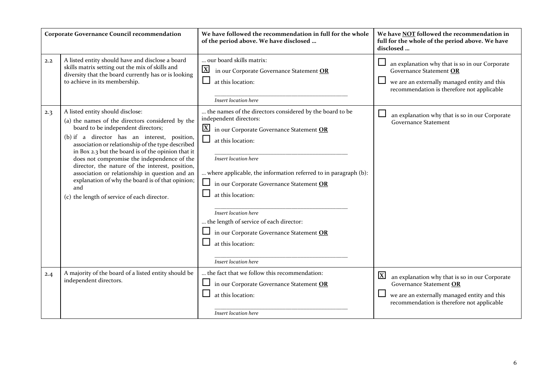|     | Corporate Governance Council recommendation                                                                                                                                                                                                                                                                                                                                                                                                                                                                                                         | We have followed the recommendation in full for the whole<br>of the period above. We have disclosed                                                                                                                                                                                                                                                                                                                                                                                                 | We have NOT followed the recommendation in<br>full for the whole of the period above. We have<br>disclosed                                                                              |
|-----|-----------------------------------------------------------------------------------------------------------------------------------------------------------------------------------------------------------------------------------------------------------------------------------------------------------------------------------------------------------------------------------------------------------------------------------------------------------------------------------------------------------------------------------------------------|-----------------------------------------------------------------------------------------------------------------------------------------------------------------------------------------------------------------------------------------------------------------------------------------------------------------------------------------------------------------------------------------------------------------------------------------------------------------------------------------------------|-----------------------------------------------------------------------------------------------------------------------------------------------------------------------------------------|
| 2,2 | A listed entity should have and disclose a board<br>skills matrix setting out the mix of skills and<br>diversity that the board currently has or is looking<br>to achieve in its membership.                                                                                                                                                                                                                                                                                                                                                        | our board skills matrix:<br>$\overline{\mathbf{X}}$<br>in our Corporate Governance Statement OR<br>∟<br>at this location:<br>Insert location here                                                                                                                                                                                                                                                                                                                                                   | an explanation why that is so in our Corporate<br>Governance Statement OR<br>we are an externally managed entity and this<br>recommendation is therefore not applicable                 |
| 2.3 | A listed entity should disclose:<br>(a) the names of the directors considered by the<br>board to be independent directors;<br>(b) if a director has an interest, position,<br>association or relationship of the type described<br>in Box 2.3 but the board is of the opinion that it<br>does not compromise the independence of the<br>director, the nature of the interest, position,<br>association or relationship in question and an<br>explanation of why the board is of that opinion;<br>and<br>(c) the length of service of each director. | the names of the directors considered by the board to be<br>independent directors:<br>$X$ in our Corporate Governance Statement OR<br>$\Box$<br>at this location:<br>Insert location here<br>where applicable, the information referred to in paragraph (b):<br>in our Corporate Governance Statement OR<br>$\Box$<br>at this location:<br>Insert location here<br>the length of service of each director:<br>in our Corporate Governance Statement OR<br>at this location:<br>Insert location here | an explanation why that is so in our Corporate<br><b>Governance Statement</b>                                                                                                           |
| 2.4 | A majority of the board of a listed entity should be<br>independent directors.                                                                                                                                                                                                                                                                                                                                                                                                                                                                      | the fact that we follow this recommendation:<br>in our Corporate Governance Statement OR<br>at this location:<br>Insert location here                                                                                                                                                                                                                                                                                                                                                               | $\mathbf{X}$<br>an explanation why that is so in our Corporate<br>Governance Statement OR<br>we are an externally managed entity and this<br>recommendation is therefore not applicable |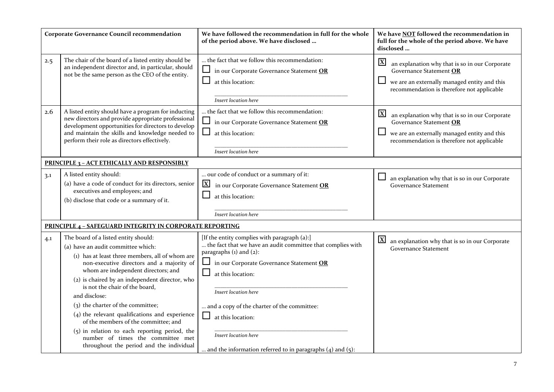|     | <b>Corporate Governance Council recommendation</b>                                                                                                                                                                                                                                                                                                                                                                                                                                                                                                                                          | We have followed the recommendation in full for the whole<br>of the period above. We have disclosed                                                                                                                                                                                                                                                                                                 | We have NOT followed the recommendation in<br>full for the whole of the period above. We have<br>disclosed                                                                                         |
|-----|---------------------------------------------------------------------------------------------------------------------------------------------------------------------------------------------------------------------------------------------------------------------------------------------------------------------------------------------------------------------------------------------------------------------------------------------------------------------------------------------------------------------------------------------------------------------------------------------|-----------------------------------------------------------------------------------------------------------------------------------------------------------------------------------------------------------------------------------------------------------------------------------------------------------------------------------------------------------------------------------------------------|----------------------------------------------------------------------------------------------------------------------------------------------------------------------------------------------------|
| 2.5 | The chair of the board of a listed entity should be<br>an independent director and, in particular, should<br>not be the same person as the CEO of the entity.                                                                                                                                                                                                                                                                                                                                                                                                                               | the fact that we follow this recommendation:<br>in our Corporate Governance Statement OR<br>at this location:<br>Insert location here                                                                                                                                                                                                                                                               | $\overline{\mathbf{X}}$<br>an explanation why that is so in our Corporate<br>Governance Statement OR<br>we are an externally managed entity and this<br>recommendation is therefore not applicable |
| 2.6 | A listed entity should have a program for inducting<br>new directors and provide appropriate professional<br>development opportunities for directors to develop<br>and maintain the skills and knowledge needed to<br>perform their role as directors effectively.                                                                                                                                                                                                                                                                                                                          | the fact that we follow this recommendation:<br>in our Corporate Governance Statement OR<br>at this location:<br>Insert location here                                                                                                                                                                                                                                                               | $\mathbf{X}$<br>an explanation why that is so in our Corporate<br>Governance Statement OR<br>we are an externally managed entity and this<br>recommendation is therefore not applicable            |
|     | <b>PRINCIPLE 3 - ACT ETHICALLY AND RESPONSIBLY</b>                                                                                                                                                                                                                                                                                                                                                                                                                                                                                                                                          |                                                                                                                                                                                                                                                                                                                                                                                                     |                                                                                                                                                                                                    |
| 3.1 | A listed entity should:<br>(a) have a code of conduct for its directors, senior<br>executives and employees; and<br>(b) disclose that code or a summary of it.                                                                                                                                                                                                                                                                                                                                                                                                                              | our code of conduct or a summary of it:<br>$\mathbf{X}$<br>in our Corporate Governance Statement OR<br>at this location:<br>Insert location here                                                                                                                                                                                                                                                    | an explanation why that is so in our Corporate<br><b>Governance Statement</b>                                                                                                                      |
|     | <b>PRINCIPLE 4 - SAFEGUARD INTEGRITY IN CORPORATE REPORTING</b>                                                                                                                                                                                                                                                                                                                                                                                                                                                                                                                             |                                                                                                                                                                                                                                                                                                                                                                                                     |                                                                                                                                                                                                    |
| 4.1 | The board of a listed entity should:<br>(a) have an audit committee which:<br>(1) has at least three members, all of whom are<br>non-executive directors and a majority of<br>whom are independent directors; and<br>(2) is chaired by an independent director, who<br>is not the chair of the board,<br>and disclose:<br>(3) the charter of the committee;<br>$(4)$ the relevant qualifications and experience<br>of the members of the committee; and<br>$(5)$ in relation to each reporting period, the<br>number of times the committee met<br>throughout the period and the individual | [If the entity complies with paragraph (a):]<br>the fact that we have an audit committee that complies with<br>paragraphs $(i)$ and $(2)$ :<br>in our Corporate Governance Statement OR<br>at this location:<br>Insert location here<br>and a copy of the charter of the committee:<br>at this location:<br>Insert location here<br>and the information referred to in paragraphs $(4)$ and $(5)$ : | $\mathbf{X}$<br>an explanation why that is so in our Corporate<br><b>Governance Statement</b>                                                                                                      |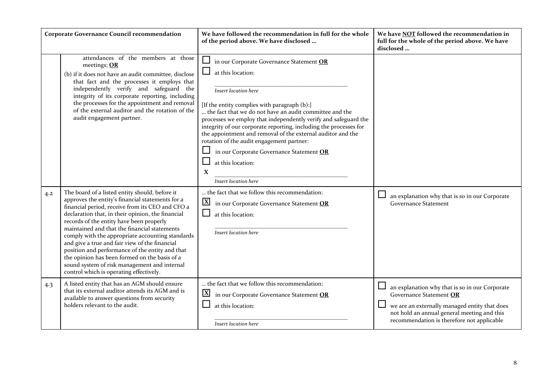|     | <b>Corporate Governance Council recommendation</b>                                                                                                                                                                                                                                                                                                                                                                                                                                                                                                                                                           | We have followed the recommendation in full for the whole<br>of the period above. We have disclosed                                                                                                                                                                                                                                                                                                                                                                                                                                                           | We have NOT followed the recommendation in<br>full for the whole of the period above. We have<br>disclosed                                                                                                                   |
|-----|--------------------------------------------------------------------------------------------------------------------------------------------------------------------------------------------------------------------------------------------------------------------------------------------------------------------------------------------------------------------------------------------------------------------------------------------------------------------------------------------------------------------------------------------------------------------------------------------------------------|---------------------------------------------------------------------------------------------------------------------------------------------------------------------------------------------------------------------------------------------------------------------------------------------------------------------------------------------------------------------------------------------------------------------------------------------------------------------------------------------------------------------------------------------------------------|------------------------------------------------------------------------------------------------------------------------------------------------------------------------------------------------------------------------------|
|     | attendances of the members at those<br>meetings; OR<br>(b) if it does not have an audit committee, disclose<br>that fact and the processes it employs that<br>independently verify and safeguard the<br>integrity of its corporate reporting, including<br>the processes for the appointment and removal<br>of the external auditor and the rotation of the<br>audit engagement partner.                                                                                                                                                                                                                     | in our Corporate Governance Statement OR<br>at this location:<br>Insert location here<br>[If the entity complies with paragraph (b):]<br>the fact that we do not have an audit committee and the<br>processes we employ that independently verify and safeguard the<br>integrity of our corporate reporting, including the processes for<br>the appointment and removal of the external auditor and the<br>rotation of the audit engagement partner:<br>in our Corporate Governance Statement OR<br>at this location:<br>$\mathbf{X}$<br>Insert location here |                                                                                                                                                                                                                              |
| 4.2 | The board of a listed entity should, before it<br>approves the entity's financial statements for a<br>financial period, receive from its CEO and CFO a<br>declaration that, in their opinion, the financial<br>records of the entity have been properly<br>maintained and that the financial statements<br>comply with the appropriate accounting standards<br>and give a true and fair view of the financial<br>position and performance of the entity and that<br>the opinion has been formed on the basis of a<br>sound system of risk management and internal<br>control which is operating effectively. | the fact that we follow this recommendation:<br>$\overline{\mathbf{X}}$<br>in our Corporate Governance Statement OR<br>at this location:<br>Insert location here                                                                                                                                                                                                                                                                                                                                                                                              | ப<br>an explanation why that is so in our Corporate<br><b>Governance Statement</b>                                                                                                                                           |
| 4.3 | A listed entity that has an AGM should ensure<br>that its external auditor attends its AGM and is<br>available to answer questions from security<br>holders relevant to the audit.                                                                                                                                                                                                                                                                                                                                                                                                                           | the fact that we follow this recommendation:<br>$\mathbf{X}$<br>in our Corporate Governance Statement OR<br>at this location:<br>Insert location here                                                                                                                                                                                                                                                                                                                                                                                                         | ப<br>an explanation why that is so in our Corporate<br>Governance Statement OR<br>we are an externally managed entity that does<br>not hold an annual general meeting and this<br>recommendation is therefore not applicable |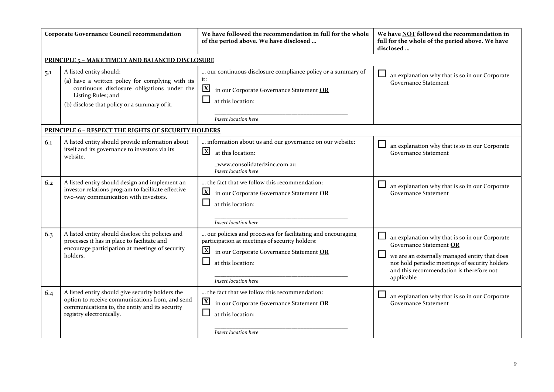|     | <b>Corporate Governance Council recommendation</b>                                                                                                                                               | We have followed the recommendation in full for the whole<br>of the period above. We have disclosed                                                                                                                    | We have NOT followed the recommendation in<br>full for the whole of the period above. We have<br>disclosed                                                                                                                             |
|-----|--------------------------------------------------------------------------------------------------------------------------------------------------------------------------------------------------|------------------------------------------------------------------------------------------------------------------------------------------------------------------------------------------------------------------------|----------------------------------------------------------------------------------------------------------------------------------------------------------------------------------------------------------------------------------------|
|     | <b>PRINCIPLE 5 - MAKE TIMELY AND BALANCED DISCLOSURE</b>                                                                                                                                         |                                                                                                                                                                                                                        |                                                                                                                                                                                                                                        |
| 5.1 | A listed entity should:<br>(a) have a written policy for complying with its<br>continuous disclosure obligations under the<br>Listing Rules; and<br>(b) disclose that policy or a summary of it. | our continuous disclosure compliance policy or a summary of<br>it:<br>$\mathbf{X}$<br>in our Corporate Governance Statement OR<br>at this location:<br>Insert location here                                            | an explanation why that is so in our Corporate<br><b>Governance Statement</b>                                                                                                                                                          |
|     | <b>PRINCIPLE 6 - RESPECT THE RIGHTS OF SECURITY HOLDERS</b>                                                                                                                                      |                                                                                                                                                                                                                        |                                                                                                                                                                                                                                        |
| 6.1 | A listed entity should provide information about<br>itself and its governance to investors via its<br>website.                                                                                   | information about us and our governance on our website:<br>$\boxed{\mathbf{X}}$<br>at this location:<br>_www.consolidatedzinc.com.au<br>Insert location here                                                           | an explanation why that is so in our Corporate<br><b>Governance Statement</b>                                                                                                                                                          |
| 6.2 | A listed entity should design and implement an<br>investor relations program to facilitate effective<br>two-way communication with investors.                                                    | the fact that we follow this recommendation:<br>$\mathbf{X}$<br>in our Corporate Governance Statement OR<br>at this location:<br>Insert location here                                                                  | an explanation why that is so in our Corporate<br><b>Governance Statement</b>                                                                                                                                                          |
| 6.3 | A listed entity should disclose the policies and<br>processes it has in place to facilitate and<br>encourage participation at meetings of security<br>holders.                                   | our policies and processes for facilitating and encouraging<br>participation at meetings of security holders:<br>$\mathbf{X}$<br>in our Corporate Governance Statement OR<br>at this location:<br>Insert location here | an explanation why that is so in our Corporate<br>Governance Statement OR<br>we are an externally managed entity that does<br>not hold periodic meetings of security holders<br>and this recommendation is therefore not<br>applicable |
| 6.4 | A listed entity should give security holders the<br>option to receive communications from, and send<br>communications to, the entity and its security<br>registry electronically.                | the fact that we follow this recommendation:<br>$\mathbf{X}$<br>in our Corporate Governance Statement OR<br>at this location:<br>Insert location here                                                                  | an explanation why that is so in our Corporate<br><b>Governance Statement</b>                                                                                                                                                          |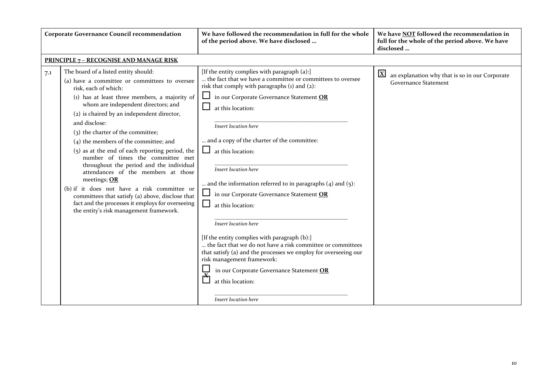|     | <b>Corporate Governance Council recommendation</b>                                                                                                                                                                                                                                                                                                                                                                                                                                                                                                                                                                                                                                                                                                  | We have followed the recommendation in full for the whole<br>of the period above. We have disclosed                                                                                                                                                                                                                                                                                                                                                                                                                                                                                                                                                                                                                                                                                                                        | We have NOT followed the recommendation in<br>full for the whole of the period above. We have<br>disclosed |
|-----|-----------------------------------------------------------------------------------------------------------------------------------------------------------------------------------------------------------------------------------------------------------------------------------------------------------------------------------------------------------------------------------------------------------------------------------------------------------------------------------------------------------------------------------------------------------------------------------------------------------------------------------------------------------------------------------------------------------------------------------------------------|----------------------------------------------------------------------------------------------------------------------------------------------------------------------------------------------------------------------------------------------------------------------------------------------------------------------------------------------------------------------------------------------------------------------------------------------------------------------------------------------------------------------------------------------------------------------------------------------------------------------------------------------------------------------------------------------------------------------------------------------------------------------------------------------------------------------------|------------------------------------------------------------------------------------------------------------|
|     | <b>PRINCIPLE 7 - RECOGNISE AND MANAGE RISK</b>                                                                                                                                                                                                                                                                                                                                                                                                                                                                                                                                                                                                                                                                                                      |                                                                                                                                                                                                                                                                                                                                                                                                                                                                                                                                                                                                                                                                                                                                                                                                                            |                                                                                                            |
| 7.1 | The board of a listed entity should:<br>(a) have a committee or committees to oversee<br>risk, each of which:<br>(1) has at least three members, a majority of<br>whom are independent directors; and<br>(2) is chaired by an independent director,<br>and disclose:<br>(3) the charter of the committee;<br>$(4)$ the members of the committee; and<br>$(5)$ as at the end of each reporting period, the<br>number of times the committee met<br>throughout the period and the individual<br>attendances of the members at those<br>meetings; OR<br>(b) if it does not have a risk committee or<br>committees that satisfy (a) above, disclose that<br>fact and the processes it employs for overseeing<br>the entity's risk management framework. | [If the entity complies with paragraph (a):]<br>the fact that we have a committee or committees to oversee<br>risk that comply with paragraphs $(i)$ and $(2)$ :<br>in our Corporate Governance Statement OR<br>at this location:<br>Insert location here<br>and a copy of the charter of the committee:<br>at this location:<br>Insert location here<br>and the information referred to in paragraphs $(4)$ and $(5)$ :<br>in our Corporate Governance Statement OR<br>at this location:<br>Insert location here<br>[If the entity complies with paragraph (b):]<br>the fact that we do not have a risk committee or committees<br>that satisfy (a) and the processes we employ for overseeing our<br>risk management framework:<br>in our Corporate Governance Statement OR<br>at this location:<br>Insert location here | $\mathbf{X}$<br>an explanation why that is so in our Corporate<br><b>Governance Statement</b>              |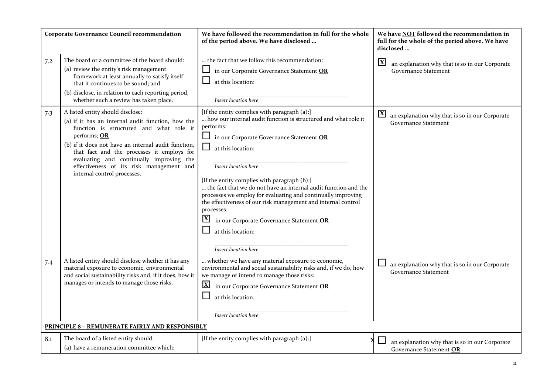|     | <b>Corporate Governance Council recommendation</b>                                                                                                                                                                                                                                                                                                                           | We have followed the recommendation in full for the whole<br>of the period above. We have disclosed                                                                                                                                                                                                                                                                                                                                                                                                                                                                             | We have NOT followed the recommendation in<br>full for the whole of the period above. We have<br>disclosed |
|-----|------------------------------------------------------------------------------------------------------------------------------------------------------------------------------------------------------------------------------------------------------------------------------------------------------------------------------------------------------------------------------|---------------------------------------------------------------------------------------------------------------------------------------------------------------------------------------------------------------------------------------------------------------------------------------------------------------------------------------------------------------------------------------------------------------------------------------------------------------------------------------------------------------------------------------------------------------------------------|------------------------------------------------------------------------------------------------------------|
| 7.2 | The board or a committee of the board should:<br>(a) review the entity's risk management<br>framework at least annually to satisfy itself<br>that it continues to be sound; and<br>(b) disclose, in relation to each reporting period,<br>whether such a review has taken place.                                                                                             | the fact that we follow this recommendation:<br>in our Corporate Governance Statement OR<br>at this location:<br>Insert location here                                                                                                                                                                                                                                                                                                                                                                                                                                           | $\overline{\mathbf{X}}$<br>an explanation why that is so in our Corporate<br><b>Governance Statement</b>   |
| 7.3 | A listed entity should disclose:<br>(a) if it has an internal audit function, how the<br>function is structured and what role it<br>performs; OR<br>(b) if it does not have an internal audit function,<br>that fact and the processes it employs for<br>evaluating and continually improving the<br>effectiveness of its risk management and<br>internal control processes. | [If the entity complies with paragraph (a):]<br>how our internal audit function is structured and what role it<br>performs:<br>in our Corporate Governance Statement OR<br>at this location:<br>Insert location here<br>[If the entity complies with paragraph (b):]<br>the fact that we do not have an internal audit function and the<br>processes we employ for evaluating and continually improving<br>the effectiveness of our risk management and internal control<br>processes:<br>in our Corporate Governance Statement OR<br>at this location:<br>Insert location here | $\mathbf{X}$<br>an explanation why that is so in our Corporate<br><b>Governance Statement</b>              |
| 7.4 | A listed entity should disclose whether it has any<br>material exposure to economic, environmental<br>and social sustainability risks and, if it does, how it<br>manages or intends to manage those risks.                                                                                                                                                                   | whether we have any material exposure to economic,<br>environmental and social sustainability risks and, if we do, how<br>we manage or intend to manage those risks:<br>$\mathbf{X}$<br>in our Corporate Governance Statement OR<br>at this location:<br>Insert location here                                                                                                                                                                                                                                                                                                   | $\Box$<br>an explanation why that is so in our Corporate<br><b>Governance Statement</b>                    |
|     | PRINCIPLE 8 - REMUNERATE FAIRLY AND RESPONSIBLY                                                                                                                                                                                                                                                                                                                              |                                                                                                                                                                                                                                                                                                                                                                                                                                                                                                                                                                                 |                                                                                                            |
| 8.1 | The board of a listed entity should:<br>(a) have a remuneration committee which:                                                                                                                                                                                                                                                                                             | [If the entity complies with paragraph (a):]                                                                                                                                                                                                                                                                                                                                                                                                                                                                                                                                    | an explanation why that is so in our Corporate<br>Governance Statement OR                                  |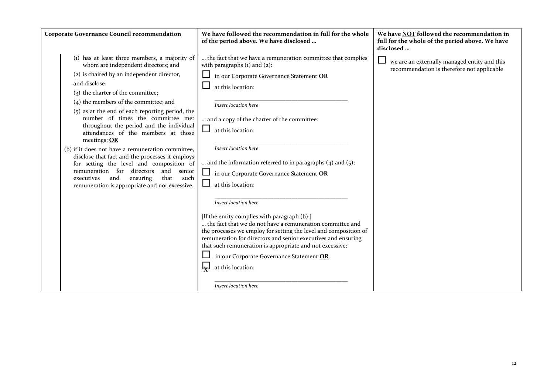| (1) has at least three members, a majority of<br>the fact that we have a remuneration committee that complies                                                                                                                                                                                                                                                                                                                                                                                                                                                                                                                                                                                                                                                                                                                                                                                                                                                                                                                                                                                                                                                                                                                                                                                                                                                                                                                                   | <b>Corporate Governance Council recommendation</b> | We have followed the recommendation in full for the whole<br>of the period above. We have disclosed | We have NOT followed the recommendation in<br>full for the whole of the period above. We have<br>disclosed |
|-------------------------------------------------------------------------------------------------------------------------------------------------------------------------------------------------------------------------------------------------------------------------------------------------------------------------------------------------------------------------------------------------------------------------------------------------------------------------------------------------------------------------------------------------------------------------------------------------------------------------------------------------------------------------------------------------------------------------------------------------------------------------------------------------------------------------------------------------------------------------------------------------------------------------------------------------------------------------------------------------------------------------------------------------------------------------------------------------------------------------------------------------------------------------------------------------------------------------------------------------------------------------------------------------------------------------------------------------------------------------------------------------------------------------------------------------|----------------------------------------------------|-----------------------------------------------------------------------------------------------------|------------------------------------------------------------------------------------------------------------|
| recommendation is therefore not applicable<br>(2) is chaired by an independent director,<br>in our Corporate Governance Statement OR<br>and disclose:<br>at this location:<br>(3) the charter of the committee;<br>$(4)$ the members of the committee; and<br>Insert location here<br>(5) as at the end of each reporting period, the<br>number of times the committee met<br>and a copy of the charter of the committee:<br>throughout the period and the individual<br>at this location:<br>attendances of the members at those<br>meetings; OR<br>Insert location here<br>(b) if it does not have a remuneration committee,<br>disclose that fact and the processes it employs<br>and the information referred to in paragraphs $(4)$ and $(5)$ :<br>for setting the level and composition of<br>remuneration for directors<br>and senior<br>in our Corporate Governance Statement OR<br>and<br>that<br>ensuring<br>executives<br>such<br>at this location:<br>remuneration is appropriate and not excessive.<br>Insert location here<br>[If the entity complies with paragraph (b):]<br>the fact that we do not have a remuneration committee and<br>the processes we employ for setting the level and composition of<br>remuneration for directors and senior executives and ensuring<br>that such remuneration is appropriate and not excessive:<br>in our Corporate Governance Statement OR<br>at this location:<br>Insert location here | whom are independent directors; and                | with paragraphs $(i)$ and $(2)$ :                                                                   | we are an externally managed entity and this                                                               |